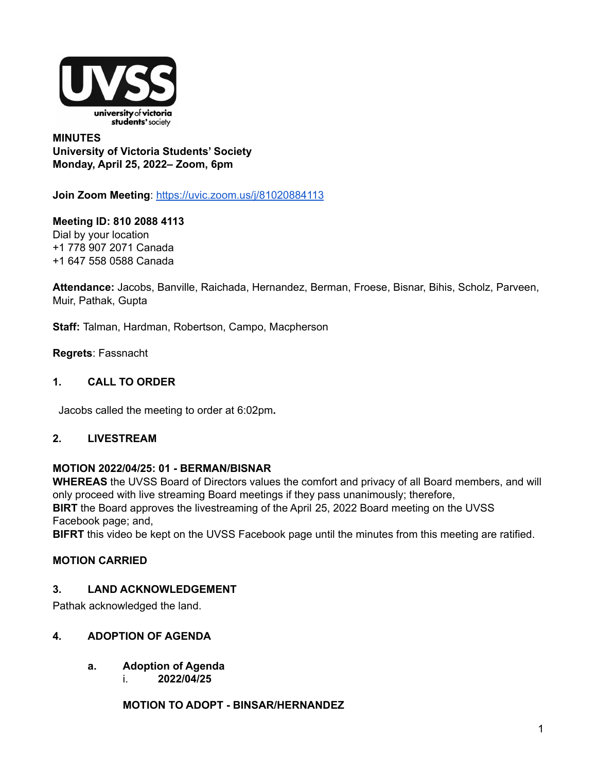

## **MINUTES University of Victoria Students' Society Monday, April 25, 2022– Zoom, 6pm**

**Join Zoom Meeting**: <https://uvic.zoom.us/j/81020884113>

**Meeting ID: 810 2088 4113** Dial by your location +1 778 907 2071 Canada +1 647 558 0588 Canada

**Attendance:** Jacobs, Banville, Raichada, Hernandez, Berman, Froese, Bisnar, Bihis, Scholz, Parveen, Muir, Pathak, Gupta

**Staff:** Talman, Hardman, Robertson, Campo, Macpherson

**Regrets**: Fassnacht

## **1. CALL TO ORDER**

Jacobs called the meeting to order at 6:02pm**.**

## **2. LIVESTREAM**

## **MOTION 2022/04/25: 01 - BERMAN/BISNAR**

**WHEREAS** the UVSS Board of Directors values the comfort and privacy of all Board members, and will only proceed with live streaming Board meetings if they pass unanimously; therefore, **BIRT** the Board approves the livestreaming of the April 25, 2022 Board meeting on the UVSS Facebook page; and,

**BIFRT** this video be kept on the UVSS Facebook page until the minutes from this meeting are ratified.

## **MOTION CARRIED**

## **3. LAND ACKNOWLEDGEMENT**

Pathak acknowledged the land.

## **4. ADOPTION OF AGENDA**

- **a. Adoption of Agenda**
	- i. **2022/04/25**

**MOTION TO ADOPT - BINSAR/HERNANDEZ**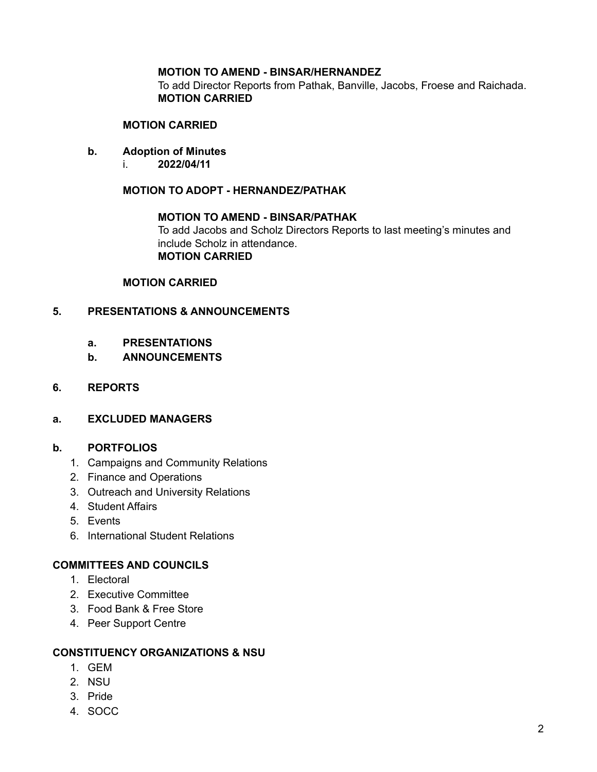## **MOTION TO AMEND - BINSAR/HERNANDEZ**

To add Director Reports from Pathak, Banville, Jacobs, Froese and Raichada. **MOTION CARRIED**

#### **MOTION CARRIED**

- **b. Adoption of Minutes**
	- i. **2022/04/11**

**MOTION TO ADOPT - HERNANDEZ/PATHAK**

## **MOTION TO AMEND - BINSAR/PATHAK**

To add Jacobs and Scholz Directors Reports to last meeting's minutes and include Scholz in attendance. **MOTION CARRIED**

#### **MOTION CARRIED**

## **5. PRESENTATIONS & ANNOUNCEMENTS**

- **a. PRESENTATIONS**
- **b. ANNOUNCEMENTS**
- **6. REPORTS**

#### **a. EXCLUDED MANAGERS**

## **b. PORTFOLIOS**

- 1. Campaigns and Community Relations
- 2. Finance and Operations
- 3. Outreach and University Relations
- 4. Student Affairs
- 5. Events
- 6. International Student Relations

#### **COMMITTEES AND COUNCILS**

- 1. Electoral
- 2. Executive Committee
- 3. Food Bank & Free Store
- 4. Peer Support Centre

#### **CONSTITUENCY ORGANIZATIONS & NSU**

- 1. GEM
- 2. NSU
- 3. Pride
- 4. SOCC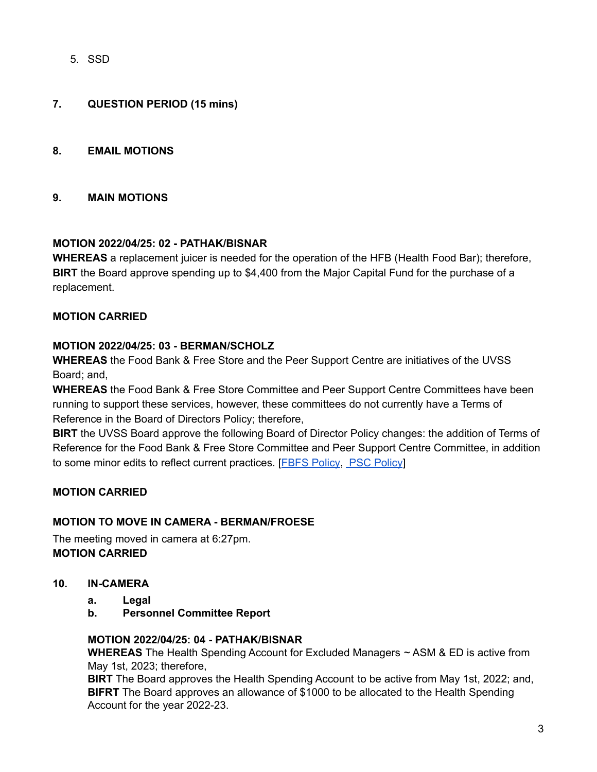5. SSD

## **7. QUESTION PERIOD (15 mins)**

### **8. EMAIL MOTIONS**

#### **9. MAIN MOTIONS**

## **MOTION 2022/04/25: 02 - PATHAK/BISNAR**

**WHEREAS** a replacement juicer is needed for the operation of the HFB (Health Food Bar); therefore, **BIRT** the Board approve spending up to \$4,400 from the Major Capital Fund for the purchase of a replacement.

## **MOTION CARRIED**

#### **MOTION 2022/04/25: 03 - BERMAN/SCHOLZ**

**WHEREAS** the Food Bank & Free Store and the Peer Support Centre are initiatives of the UVSS Board; and,

**WHEREAS** the Food Bank & Free Store Committee and Peer Support Centre Committees have been running to support these services, however, these committees do not currently have a Terms of Reference in the Board of Directors Policy; therefore,

**BIRT** the UVSS Board approve the following Board of Director Policy changes: the addition of Terms of Reference for the Food Bank & Free Store Committee and Peer Support Centre Committee, in addition to some minor edits to reflect current practices. [FBFS [Policy](https://docs.google.com/document/d/1UKmeS-EJOF1B405SmYV1eX1ZFleMQLuaw-aNr0GLg6o/edit), PSC [Policy](https://docs.google.com/document/d/1OvKd8t3xtAK6e6_EME0XcLHNjtONxiUBC0hz4RMNoT0/edit)]

## **MOTION CARRIED**

## **MOTION TO MOVE IN CAMERA - BERMAN/FROESE**

The meeting moved in camera at 6:27pm. **MOTION CARRIED**

- **10. IN-CAMERA**
	- **a. Legal**
	- **b. Personnel Committee Report**

#### **MOTION 2022/04/25: 04 - PATHAK/BISNAR**

**WHEREAS** The Health Spending Account for Excluded Managers ~ ASM & ED is active from May 1st, 2023; therefore,

**BIRT** The Board approves the Health Spending Account to be active from May 1st, 2022; and, **BIFRT** The Board approves an allowance of \$1000 to be allocated to the Health Spending Account for the year 2022-23.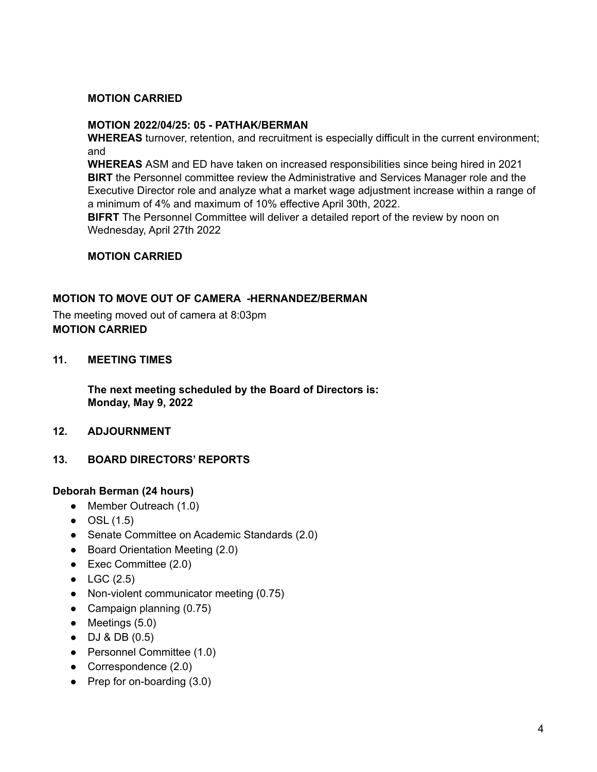## **MOTION CARRIED**

## **MOTION 2022/04/25: 05 - PATHAK/BERMAN**

**WHEREAS** turnover, retention, and recruitment is especially difficult in the current environment; and

**WHEREAS** ASM and ED have taken on increased responsibilities since being hired in 2021 **BIRT** the Personnel committee review the Administrative and Services Manager role and the Executive Director role and analyze what a market wage adjustment increase within a range of a minimum of 4% and maximum of 10% effective April 30th, 2022.

**BIFRT** The Personnel Committee will deliver a detailed report of the review by noon on Wednesday, April 27th 2022

## **MOTION CARRIED**

## **MOTION TO MOVE OUT OF CAMERA -HERNANDEZ/BERMAN**

The meeting moved out of camera at 8:03pm **MOTION CARRIED**

## **11. MEETING TIMES**

**The next meeting scheduled by the Board of Directors is: Monday, May 9, 2022**

- **12. ADJOURNMENT**
- **13. BOARD DIRECTORS' REPORTS**

## **Deborah Berman (24 hours)**

- Member Outreach (1.0)
- $\bullet$  OSL (1.5)
- Senate Committee on Academic Standards (2.0)
- Board Orientation Meeting (2.0)
- Exec Committee (2.0)
- $\bullet$  LGC (2.5)
- Non-violent communicator meeting (0.75)
- Campaign planning (0.75)
- $\bullet$  Meetings (5.0)
- DJ & DB (0.5)
- Personnel Committee (1.0)
- Correspondence (2.0)
- Prep for on-boarding (3.0)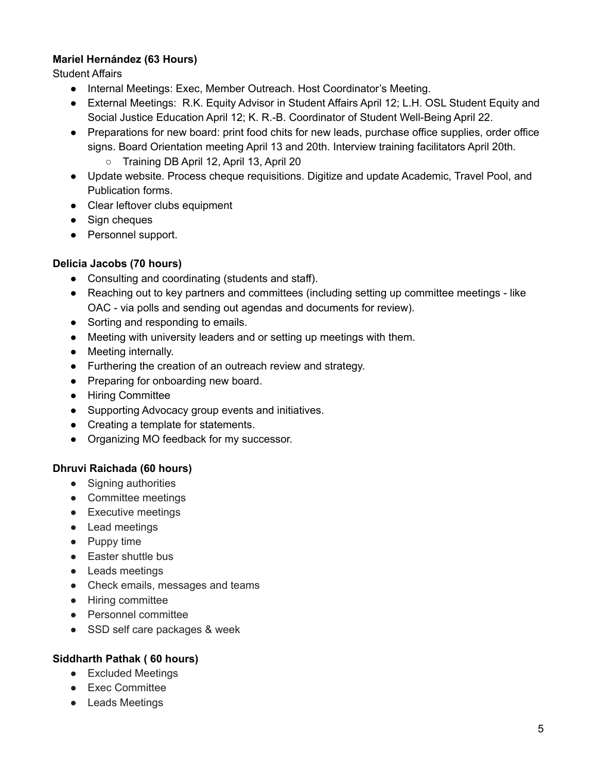## **Mariel Hernández (63 Hours)**

Student Affairs

- Internal Meetings: Exec, Member Outreach. Host Coordinator's Meeting.
- External Meetings: R.K. Equity Advisor in Student Affairs April 12: L.H. OSL Student Equity and Social Justice Education April 12; K. R.-B. Coordinator of Student Well-Being April 22.
- Preparations for new board: print food chits for new leads, purchase office supplies, order office signs. Board Orientation meeting April 13 and 20th. Interview training facilitators April 20th. ○ Training DB April 12, April 13, April 20
- Update website. Process cheque requisitions. Digitize and update Academic, Travel Pool, and Publication forms.
- Clear leftover clubs equipment
- Sign cheques
- Personnel support.

## **Delicia Jacobs (70 hours)**

- Consulting and coordinating (students and staff).
- Reaching out to key partners and committees (including setting up committee meetings like OAC - via polls and sending out agendas and documents for review).
- Sorting and responding to emails.
- Meeting with university leaders and or setting up meetings with them.
- Meeting internally.
- Furthering the creation of an outreach review and strategy.
- Preparing for onboarding new board.
- Hiring Committee
- Supporting Advocacy group events and initiatives.
- Creating a template for statements.
- Organizing MO feedback for my successor.

## **Dhruvi Raichada (60 hours)**

- Signing authorities
- Committee meetings
- Executive meetings
- Lead meetings
- Puppy time
- Easter shuttle bus
- Leads meetings
- Check emails, messages and teams
- Hiring committee
- Personnel committee
- SSD self care packages & week

## **Siddharth Pathak ( 60 hours)**

- Excluded Meetings
- Exec Committee
- Leads Meetings